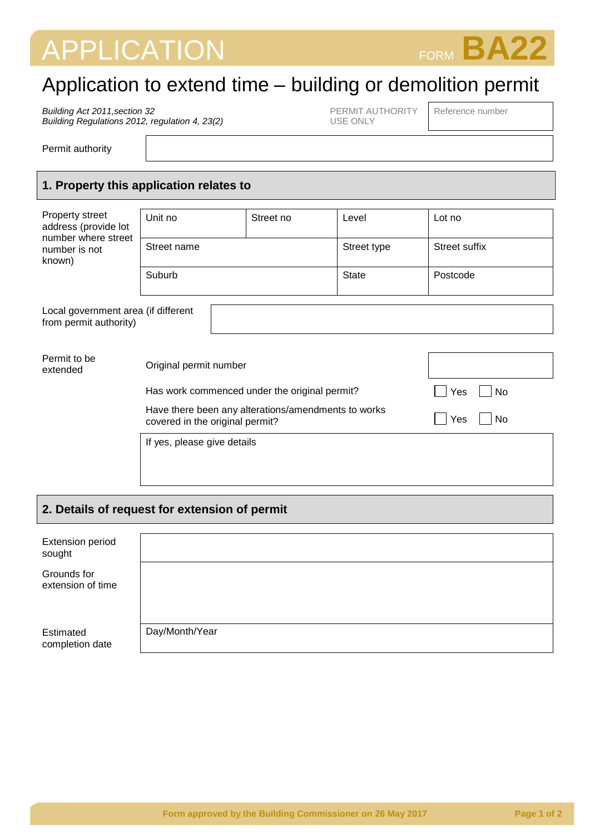# APPLICATION FORM **BA22**



## Application to extend time – building or demolition permit

*Building Act 2011,section 32 Building Regulations 2012, regulation 4, 23(2)* PERMIT AUTHORITY USE ONLY

Reference number

Permit authority

#### **1. Property this application relates to**

| Property street<br>address (provide lot<br>number where street | Unit no                         | Street no                                           | Level        | Lot no        |  |  |
|----------------------------------------------------------------|---------------------------------|-----------------------------------------------------|--------------|---------------|--|--|
| number is not<br>known)                                        | Street name                     |                                                     | Street type  | Street suffix |  |  |
|                                                                | Suburb                          |                                                     | <b>State</b> | Postcode      |  |  |
| Local government area (if different<br>from permit authority)  |                                 |                                                     |              |               |  |  |
| Permit to be<br>extended                                       | Original permit number          |                                                     |              |               |  |  |
|                                                                |                                 | Has work commenced under the original permit?       | Yes<br>No.   |               |  |  |
|                                                                | covered in the original permit? | Have there been any alterations/amendments to works | Yes<br>No    |               |  |  |

#### **2. Details of request for extension of permit**

If yes, please give details

| <b>Extension period</b><br>sought |                |
|-----------------------------------|----------------|
| Grounds for<br>extension of time  |                |
| Estimated<br>completion date      | Day/Month/Year |